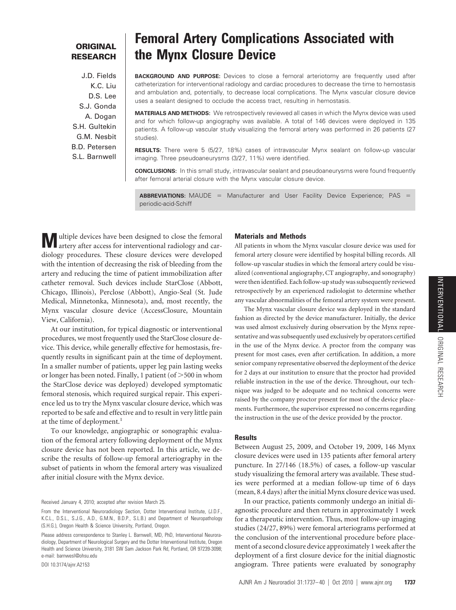# **ORIGINAL RESEARCH**

J.D. Fields K.C. Liu D.S. Lee S.J. Gonda A. Dogan S.H. Gultekin G.M. Nesbit B.D. Petersen S.L. Barnwell

# **Femoral Artery Complications Associated with the Mynx Closure Device**

**BACKGROUND AND PURPOSE:** Devices to close a femoral arteriotomy are frequently used after catheterization for interventional radiology and cardiac procedures to decrease the time to hemostasis and ambulation and, potentially, to decrease local complications. The Mynx vascular closure device uses a sealant designed to occlude the access tract, resulting in hemostasis.

**MATERIALS AND METHODS:** We retrospectively reviewed all cases in which the Mynx device was used and for which follow-up angiography was available. A total of 146 devices were deployed in 135 patients. A follow-up vascular study visualizing the femoral artery was performed in 26 patients (27 studies).

**RESULTS:** There were 5 (5/27, 18%) cases of intravascular Mynx sealant on follow-up vascular imaging. Three pseudoaneurysms (3/27, 11%) were identified.

**CONCLUSIONS:** In this small study, intravascular sealant and pseudoaneurysms were found frequently after femoral arterial closure with the Mynx vascular closure device.

**ABBREVIATIONS:** MAUDE = Manufacturer and User Facility Device Experience; PAS = periodic-acid-Schiff

**M** ultiple devices have been designed to close the femoral artery after access for interventional radiology and cardiology procedures. These closure devices were developed with the intention of decreasing the risk of bleeding from the artery and reducing the time of patient immobilization after catheter removal. Such devices include StarClose (Abbott, Chicago, Illinois), Perclose (Abbott), Angio-Seal (St. Jude Medical, Minnetonka, Minnesota), and, most recently, the Mynx vascular closure device (AccessClosure, Mountain View, California).

At our institution, for typical diagnostic or interventional procedures, we most frequently used the StarClose closure device. This device, while generally effective for hemostasis, frequently results in significant pain at the time of deployment. In a smaller number of patients, upper leg pain lasting weeks or longer has been noted. Finally, 1 patient (of  $>$  500 in whom the StarClose device was deployed) developed symptomatic femoral stenosis, which required surgical repair. This experience led us to try the Mynx vascular closure device, which was reported to be safe and effective and to result in very little pain at the time of deployment.<sup>1</sup>

To our knowledge, angiographic or sonographic evaluation of the femoral artery following deployment of the Mynx closure device has not been reported. In this article, we describe the results of follow-up femoral arteriography in the subset of patients in whom the femoral artery was visualized after initial closure with the Mynx device.

Received January 4, 2010; accepted after revision March 25.

DOI 10.3174/ajnr.A2153

# **Materials and Methods**

All patients in whom the Mynx vascular closure device was used for femoral artery closure were identified by hospital billing records. All follow-up vascular studies in which the femoral artery could be visualized (conventional angiography, CT angiography, and sonography) were then identified. Each follow-up study was subsequently reviewed retrospectively by an experienced radiologist to determine whether any vascular abnormalities of the femoral artery system were present.

The Mynx vascular closure device was deployed in the standard fashion as directed by the device manufacturer. Initially, the device was used almost exclusively during observation by the Mynx representative and was subsequently used exclusively by operators certified in the use of the Mynx device. A proctor from the company was present for most cases, even after certification. In addition, a more senior company representative observed the deployment of the device for 2 days at our institution to ensure that the proctor had provided reliable instruction in the use of the device. Throughout, our technique was judged to be adequate and no technical concerns were raised by the company proctor present for most of the device placements. Furthermore, the supervisor expressed no concerns regarding the instruction in the use of the device provided by the proctor.

#### **Results**

Between August 25, 2009, and October 19, 2009, 146 Mynx closure devices were used in 135 patients after femoral artery puncture. In 27/146 (18.5%) of cases, a follow-up vascular study visualizing the femoral artery was available. These studies were performed at a median follow-up time of 6 days (mean, 8.4 days) after the initial Mynx closure device was used.

In our practice, patients commonly undergo an initial diagnostic procedure and then return in approximately 1 week for a therapeutic intervention. Thus, most follow-up imaging studies (24/27, 89%) were femoral arteriograms performed at the conclusion of the interventional procedure before placement of a second closure device approximately 1 week after the deployment of a first closure device for the initial diagnostic angiogram. Three patients were evaluated by sonography

From the Interventional Neuroradiology Section, Dotter Interventional Institute, (J.D.F., K.C.L., D.S.L., S.J.G., A.D., G.M.N., B.D.P., S.L.B.) and Department of Neuropathology (S.H.G.), Oregon Health & Science University, Portland, Oregon.

Please address correspondence to Stanley L. Barnwell, MD, PhD, Interventional Neuroradiology, Department of Neurological Surgery and the Dotter Interventional Institute, Oregon Health and Science University, 3181 SW Sam Jackson Park Rd, Portland, OR 97239-3098; e-mail: barnwesl@ohsu.edu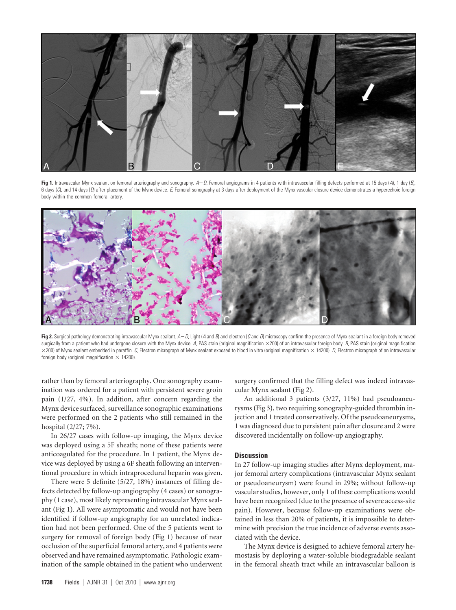

**Fig 1.** Intravascular Mynx sealant on femoral arteriography and sonography. *AD*, Femoral angiograms in 4 patients with intravascular filling defects performed at 15 days (*A*), 1 day (*B*), 6 days (*C*), and 14 days (*D*) after placement of the Mynx device. *E*, Femoral sonography at 3 days after deployment of the Mynx vascular closure device demonstrates a hyperechoic foreign body within the common femoral artery.



Fig 2. Surgical pathology demonstrating intravascular Mynx sealant.  $A-D$ , Light (A and B) and electron (C and D) microscopy confirm the presence of Mynx sealant in a foreign body removed surgically from a patient who had undergone closure with the Mynx device. A, PAS stain (original magnification ×200) of an intravascular foreign body. *B*, PAS stain (original magnification  $\times$ 200) of Mynx sealant embedded in paraffin. *C*, Electron micrograph of Mynx sealant exposed to blood in vitro (original magnification  $\times$  14200). *D*, Electron micrograph of an intravascular foreign body (original magnification  $\times$  14200).

rather than by femoral arteriography. One sonography examination was ordered for a patient with persistent severe groin pain (1/27, 4%). In addition, after concern regarding the Mynx device surfaced, surveillance sonographic examinations were performed on the 2 patients who still remained in the hospital (2/27; 7%).

In 26/27 cases with follow-up imaging, the Mynx device was deployed using a 5F sheath; none of these patients were anticoagulated for the procedure. In 1 patient, the Mynx device was deployed by using a 6F sheath following an interventional procedure in which intraprocedural heparin was given.

There were 5 definite (5/27, 18%) instances of filling defects detected by follow-up angiography (4 cases) or sonography (1 case), most likely representing intravascular Mynx sealant **(**Fig 1**)**. All were asymptomatic and would not have been identified if follow-up angiography for an unrelated indication had not been performed. One of the 5 patients went to surgery for removal of foreign body (Fig 1) because of near occlusion of the superficial femoral artery, and 4 patients were observed and have remained asymptomatic. Pathologic examination of the sample obtained in the patient who underwent surgery confirmed that the filling defect was indeed intravascular Mynx sealant **(**Fig 2**)**.

An additional 3 patients (3/27, 11%) had pseudoaneurysms **(**Fig 3**)**, two requiring sonography-guided thrombin injection and 1 treated conservatively. Of the pseudoaneurysms, 1 was diagnosed due to persistent pain after closure and 2 were discovered incidentally on follow-up angiography.

### **Discussion**

In 27 follow-up imaging studies after Mynx deployment, major femoral artery complications (intravascular Mynx sealant or pseudoaneurysm) were found in 29%; without follow-up vascular studies, however, only 1 of these complications would have been recognized (due to the presence of severe access-site pain). However, because follow-up examinations were obtained in less than 20% of patients, it is impossible to determine with precision the true incidence of adverse events associated with the device.

The Mynx device is designed to achieve femoral artery hemostasis by deploying a water-soluble biodegradable sealant in the femoral sheath tract while an intravascular balloon is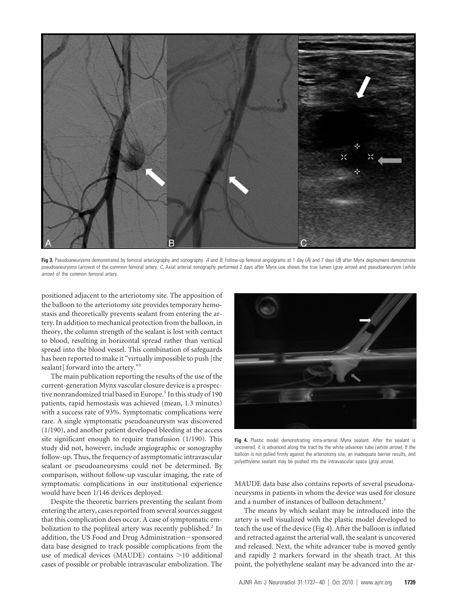

Fig 3. Pseudoaneurysms demonstrated by femoral arteriography and sonography. A and B, Follow-up femoral angiograms at 1 day (A) and 7 days (B) after Mynx deployment demonstrate pseudoaneurysms (*arrows*) of the common femoral artery. *C*, Axial arterial sonography performed 2 days after Mynx use shows the true lumen (*gray arrow*) and pseudoaneurysm (*white arrow*) of the common femoral artery.

positioned adjacent to the arteriotomy site. The apposition of the balloon to the arteriotomy site provides temporary hemostasis and theoretically prevents sealant from entering the artery. In addition to mechanical protection from the balloon, in theory, the column strength of the sealant is lost with contact to blood, resulting in horizontal spread rather than vertical spread into the blood vessel. This combination of safeguards has been reported to make it "virtually impossible to push [the sealant] forward into the artery."<sup>1</sup>

The main publication reporting the results of the use of the current-generation Mynx vascular closure device is a prospective nonrandomized trial based in Europe.<sup>1</sup> In this study of 190 patients, rapid hemostasis was achieved (mean, 1.3 minutes) with a success rate of 93%. Symptomatic complications were rare. A single symptomatic pseudoaneurysm was discovered (1/190), and another patient developed bleeding at the access site significant enough to require transfusion (1/190). This study did not, however, include angiographic or sonography follow-up. Thus, the frequency of asymptomatic intravascular sealant or pseudoaneurysms could not be determined. By comparison, without follow-up vascular imaging, the rate of symptomatic complications in our institutional experience would have been 1/146 devices deployed.

Despite the theoretic barriers preventing the sealant from entering the artery, cases reported from several sources suggest that this complication does occur. A case of symptomatic embolization to the popliteal artery was recently published.<sup>2</sup> In addition, the US Food and Drug Administration-sponsored data base designed to track possible complications from the use of medical devices (MAUDE) contains >10 additional cases of possible or probable intravascular embolization. The



Fig 4. Plastic model demonstrating intra-arterial Mynx sealant. After the sealant is uncovered, it is advanced along the tract by the white advancer tube (*white arrow*). If the balloon is not pulled firmly against the arteriotomy site, an inadequate barrier results, and polyethylene sealant may be pushed into the intravascular space (*gray arrow*).

MAUDE data base also contains reports of several pseudonaneurysms in patients in whom the device was used for closure and a number of instances of balloon detachment.<sup>3</sup>

The means by which sealant may be introduced into the artery is well visualized with the plastic model developed to teach the use of the device **(**Fig 4**)**. After the balloon is inflated and retracted against the arterial wall, the sealant is uncovered and released. Next, the white advancer tube is moved gently and rapidly 2 markers forward in the sheath tract. At this point, the polyethylene sealant may be advanced into the ar